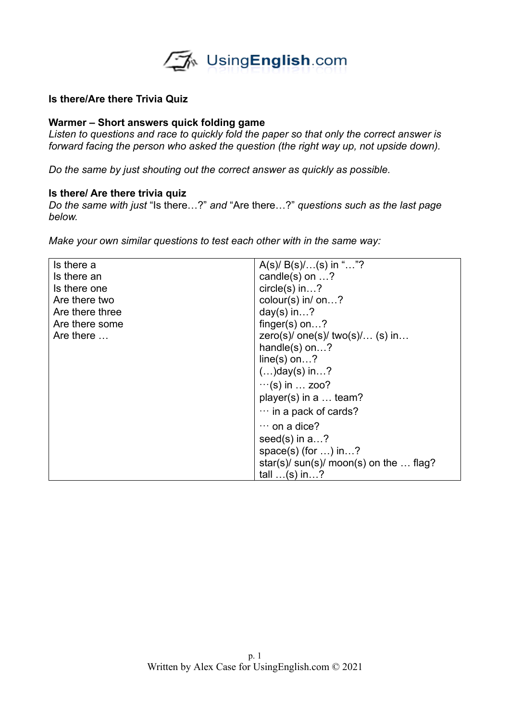

## **Is there/Are there Trivia Quiz**

## **Warmer – Short answers quick folding game**

*Listen to questions and race to quickly fold the paper so that only the correct answer is*  forward facing the person who asked the question (the right way up, not upside down).

*Do the same by just shouting out the correct answer as quickly as possible.*

## **Is there/ Are there trivia quiz**

*Do the same with just* "Is there…?" *and* "Are there…?" *questions such as the last page below.*

*Make your own similar questions to test each other with in the same way:*

| Is there a      | $A(s)/ B(s)/ (s)$ in ""?                |
|-----------------|-----------------------------------------|
| Is there an     | candle(s) on $\dots$ ?                  |
| Is there one    | $circle(s)$ in?                         |
| Are there two   | colour(s) in/ on?                       |
| Are there three | day(s) in?                              |
| Are there some  | finger(s) on?                           |
| Are there       | zero(s)/ $one(s)$ / $two(s)$ / (s) in   |
|                 | handle(s) on?                           |
|                 | $line(s)$ on ?                          |
|                 | $()$ day(s) in ?                        |
|                 | $\cdots$ (s) in  zoo?                   |
|                 | player(s) in a  team?                   |
|                 | $\cdots$ in a pack of cards?            |
|                 | $\cdots$ on a dice?                     |
|                 | seed(s) in $a?$                         |
|                 | space(s) (for $\dots$ ) in $\dots$ ?    |
|                 | star(s)/ $sun(s)$ moon(s) on the  flag? |
|                 | tall $\ldots$ (s) in $\ldots$ ?         |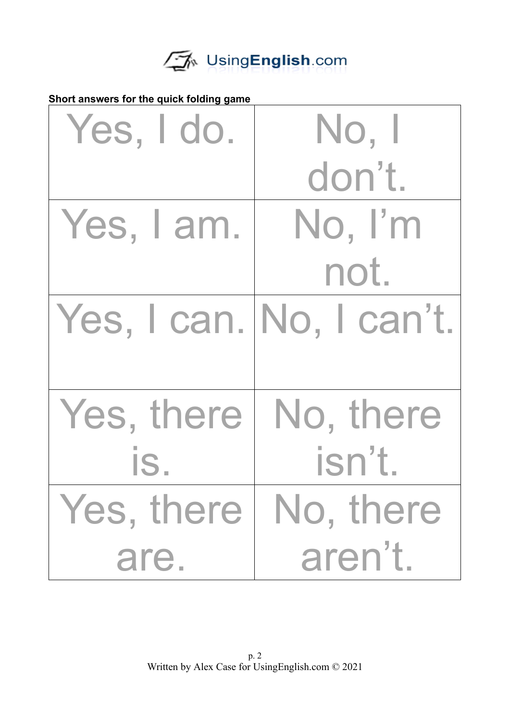

**Short answers for the quick folding game**

| Yes, I do.             | No, I                    |
|------------------------|--------------------------|
|                        | don't.                   |
| Yes, I am.             | No, I'm                  |
|                        | not.                     |
|                        | Yes, I can. No, I can't. |
| Yes, there   No, there |                          |
| IS.                    | isn't.                   |
| Yes, there   No, there |                          |
| are.                   | aren't.                  |